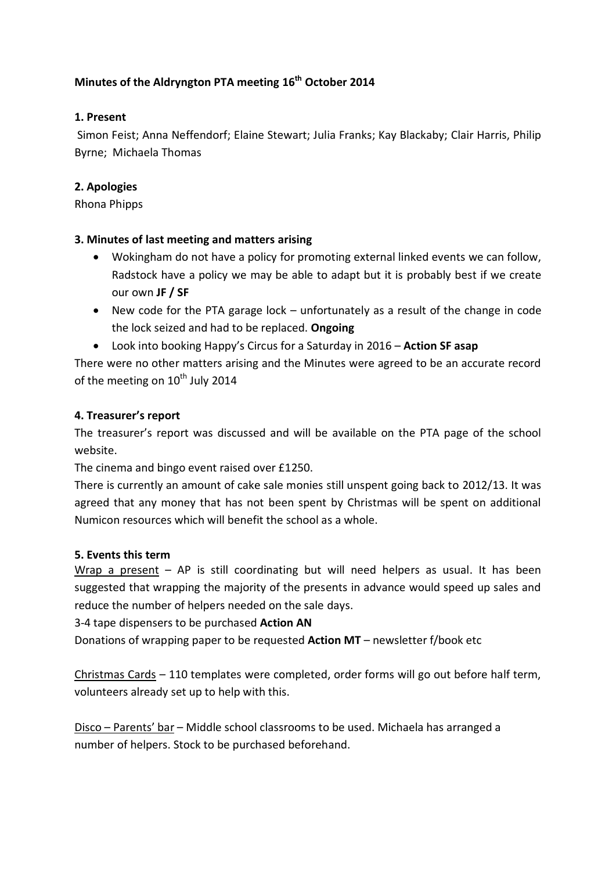# **Minutes of the Aldryngton PTA meeting 16th October 2014**

## **1. Present**

Simon Feist; Anna Neffendorf; Elaine Stewart; Julia Franks; Kay Blackaby; Clair Harris, Philip Byrne; Michaela Thomas

## **2. Apologies**

Rhona Phipps

## **3. Minutes of last meeting and matters arising**

- Wokingham do not have a policy for promoting external linked events we can follow, Radstock have a policy we may be able to adapt but it is probably best if we create our own **JF / SF**
- New code for the PTA garage lock unfortunately as a result of the change in code the lock seized and had to be replaced. **Ongoing**
- Look into booking Happy's Circus for a Saturday in 2016 **Action SF asap**

There were no other matters arising and the Minutes were agreed to be an accurate record of the meeting on  $10^{th}$  July 2014

## **4. Treasurer's report**

The treasurer's report was discussed and will be available on the PTA page of the school website.

The cinema and bingo event raised over £1250.

There is currently an amount of cake sale monies still unspent going back to 2012/13. It was agreed that any money that has not been spent by Christmas will be spent on additional Numicon resources which will benefit the school as a whole.

### **5. Events this term**

Wrap a present – AP is still coordinating but will need helpers as usual. It has been suggested that wrapping the majority of the presents in advance would speed up sales and reduce the number of helpers needed on the sale days.

3-4 tape dispensers to be purchased **Action AN**

Donations of wrapping paper to be requested **Action MT** – newsletter f/book etc

Christmas Cards – 110 templates were completed, order forms will go out before half term, volunteers already set up to help with this.

Disco – Parents' bar – Middle school classrooms to be used. Michaela has arranged a number of helpers. Stock to be purchased beforehand.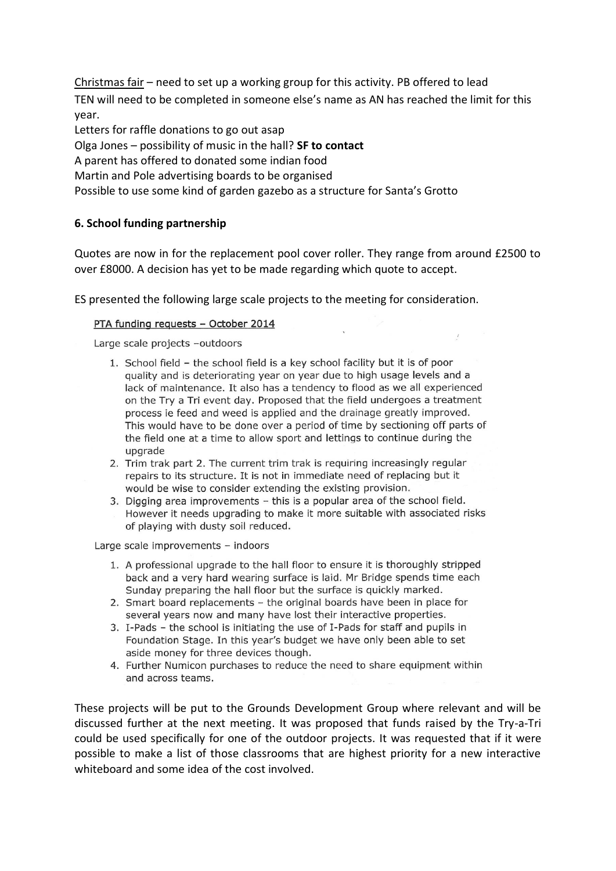Christmas fair – need to set up a working group for this activity. PB offered to lead

TEN will need to be completed in someone else's name as AN has reached the limit for this year.

Letters for raffle donations to go out asap

Olga Jones – possibility of music in the hall? **SF to contact**

A parent has offered to donated some indian food

Martin and Pole advertising boards to be organised

Possible to use some kind of garden gazebo as a structure for Santa's Grotto

#### **6. School funding partnership**

Quotes are now in for the replacement pool cover roller. They range from around £2500 to over £8000. A decision has yet to be made regarding which quote to accept.

ES presented the following large scale projects to the meeting for consideration.

#### PTA funding requests - October 2014

Large scale projects -outdoors

- 1. School field the school field is a key school facility but it is of poor quality and is deteriorating year on year due to high usage levels and a lack of maintenance. It also has a tendency to flood as we all experienced on the Try a Tri event day. Proposed that the field undergoes a treatment process ie feed and weed is applied and the drainage greatly improved. This would have to be done over a period of time by sectioning off parts of the field one at a time to allow sport and lettings to continue during the upgrade
- 2. Trim trak part 2. The current trim trak is requiring increasingly regular repairs to its structure. It is not in immediate need of replacing but it would be wise to consider extending the existing provision.
- 3. Digging area improvements this is a popular area of the school field. However it needs upgrading to make it more suitable with associated risks of playing with dusty soil reduced.

Large scale improvements - indoors

- 1. A professional upgrade to the hall floor to ensure it is thoroughly stripped back and a very hard wearing surface is laid. Mr Bridge spends time each Sunday preparing the hall floor but the surface is quickly marked.
- 2. Smart board replacements the original boards have been in place for several years now and many have lost their interactive properties.
- 3. I-Pads the school is initiating the use of I-Pads for staff and pupils in Foundation Stage. In this year's budget we have only been able to set aside money for three devices though.
- 4. Further Numicon purchases to reduce the need to share equipment within and across teams.

These projects will be put to the Grounds Development Group where relevant and will be discussed further at the next meeting. It was proposed that funds raised by the Try-a-Tri could be used specifically for one of the outdoor projects. It was requested that if it were possible to make a list of those classrooms that are highest priority for a new interactive whiteboard and some idea of the cost involved.